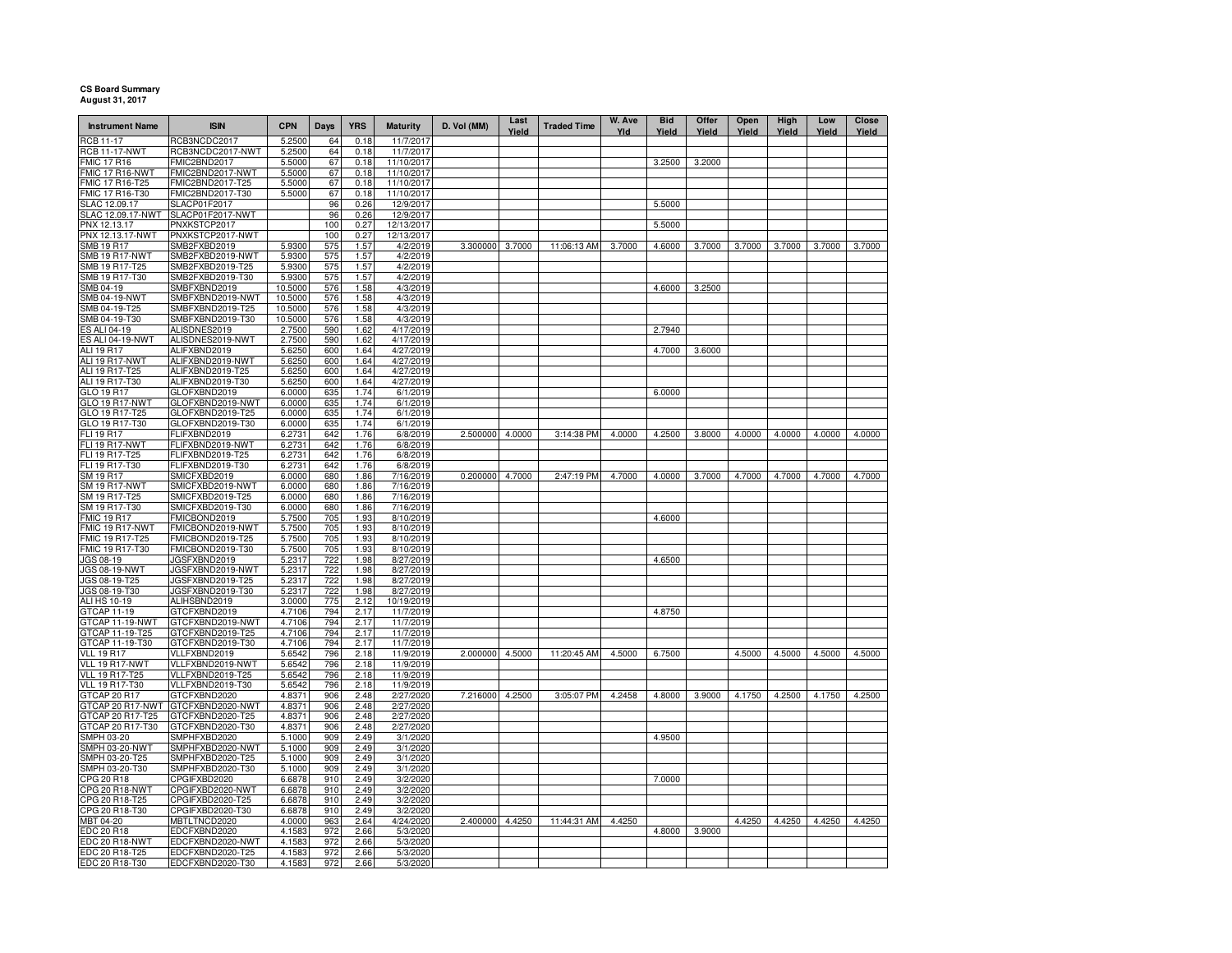## **CS Board Summary August 31, 2017**

| <b>Instrument Name</b>           | <b>ISIN</b>                          | <b>CPN</b>       | <b>Days</b> | <b>YRS</b>   | <b>Maturity</b>          | D. Vol (MM)     | Last<br>Yield | <b>Traded Time</b> | W. Ave<br>Yld | <b>Bid</b><br>Yield | Offer<br>Yield | Open<br>Yield | High<br>Yield | Low<br>Yield | Close<br>Yield |
|----------------------------------|--------------------------------------|------------------|-------------|--------------|--------------------------|-----------------|---------------|--------------------|---------------|---------------------|----------------|---------------|---------------|--------------|----------------|
| RCB 11-17                        | RCB3NCDC2017                         | 5.2500           | 64          | 0.18         | 11/7/2017                |                 |               |                    |               |                     |                |               |               |              |                |
| <b>RCB 11-17-NWT</b>             | RCB3NCDC2017-NWT                     | 5.2500           | 64          | 0.18         | 11/7/2017                |                 |               |                    |               |                     |                |               |               |              |                |
| <b>FMIC 17 R16</b>               | FMIC2BND2017                         | 5.5000           | 67          | 0.18         | 11/10/2017               |                 |               |                    |               | 3.2500              | 3.2000         |               |               |              |                |
| <b>FMIC 17 R16-NWT</b>           | FMIC2BND2017-NWT<br>FMIC2BND2017-T25 | 5.5000           | 67          | 0.18<br>0.18 | 11/10/2017<br>11/10/2017 |                 |               |                    |               |                     |                |               |               |              |                |
| FMIC 17 R16-T25                  | FMIC2BND2017-T30                     | 5.5000           | 67          |              |                          |                 |               |                    |               |                     |                |               |               |              |                |
| MIC 17 R16-T30<br>SLAC 12.09.17  | SLACP01F2017                         | 5.5000           | 67<br>96    | 0.18<br>0.26 | 11/10/2017<br>12/9/2017  |                 |               |                    |               | 5.5000              |                |               |               |              |                |
| SLAC 12.09.17-NWT                | SLACP01F2017-NWT                     |                  | 96          | 0.26         | 12/9/2017                |                 |               |                    |               |                     |                |               |               |              |                |
| PNX 12.13.17                     | PNXKSTCP2017                         |                  | 100         | 0.27         | 12/13/2017               |                 |               |                    |               | 5.5000              |                |               |               |              |                |
| PNX 12.13.17-NWT                 | PNXKSTCP2017-NWT                     |                  | 100         | 0.27         | 12/13/2017               |                 |               |                    |               |                     |                |               |               |              |                |
| <b>SMB 19 R17</b>                | SMB2FXBD2019                         | 5.9300           | 575         | 1.57         | 4/2/2019                 | 3.300000 3.7000 |               | 11:06:13 AM        | 3.7000        | 4.6000              | 3.7000         | 3.7000        | 3.7000        | 3.7000       | 3.7000         |
| <b>SMB 19 R17-NWT</b>            | SMB2FXBD2019-NWT                     | 5.9300           | 575         | 1.57         | 4/2/2019                 |                 |               |                    |               |                     |                |               |               |              |                |
| SMB 19 R17-T25                   | SMB2FXBD2019-T25                     | 5.9300           | 575         | 1.57         | 4/2/2019                 |                 |               |                    |               |                     |                |               |               |              |                |
| SMB 19 R17-T30                   | SMB2FXBD2019-T30                     | 5.9300           | 575         | 1.57         | 4/2/2019                 |                 |               |                    |               |                     |                |               |               |              |                |
| SMB 04-19                        | SMBFXBND2019                         | 10.5000          | 576         | 1.58         | 4/3/2019                 |                 |               |                    |               | 4.6000              | 3.2500         |               |               |              |                |
| SMB 04-19-NWT                    | SMBFXBND2019-NWT                     | 10.5000          | 576         | 1.58         | 4/3/2019                 |                 |               |                    |               |                     |                |               |               |              |                |
| SMB 04-19-T25                    | SMBFXBND2019-T25                     | 10.5000          | 576         | 1.58         | 4/3/2019                 |                 |               |                    |               |                     |                |               |               |              |                |
| SMB 04-19-T30                    | SMBFXBND2019-T30                     | 10.5000          | 576         | 1.58         | 4/3/2019                 |                 |               |                    |               |                     |                |               |               |              |                |
| ES ALI 04-19                     | ALISDNES2019                         | 2.7500           | 590         | 1.62         | 4/17/2019                |                 |               |                    |               | 2.7940              |                |               |               |              |                |
| ES ALI 04-19-NWT                 | ALISDNES2019-NWT                     | 2.7500           | 590         | 1.62         | 4/17/2019                |                 |               |                    |               |                     |                |               |               |              |                |
| ALI 19 R17                       | ALIFXBND2019                         | 5.6250           | 600         | 1.64         | 4/27/2019                |                 |               |                    |               | 4.7000              | 3.6000         |               |               |              |                |
| ALI 19 R17-NWT                   | ALIFXBND2019-NWT                     | 5.6250           | 600         | 1.64         | 4/27/2019                |                 |               |                    |               |                     |                |               |               |              |                |
| ALI 19 R17-T25                   | ALIFXBND2019-T25                     | 5.6250           | 600         | 1.64         | 4/27/2019                |                 |               |                    |               |                     |                |               |               |              |                |
| ALI 19 R17-T30                   | ALIFXBND2019-T30                     | 5.6250           | 600         | 1.64         | 4/27/2019                |                 |               |                    |               |                     |                |               |               |              |                |
| GLO 19 R17                       | GLOFXBND2019                         | 6.0000           | 635         | 1.74         | 6/1/2019                 |                 |               |                    |               | 6.0000              |                |               |               |              |                |
| GLO 19 R17-NWT                   | GLOFXBND2019-NWT                     | 6.0000           | 635         | 1.74         | 6/1/2019                 |                 |               |                    |               |                     |                |               |               |              |                |
| GLO 19 R17-T25                   | GLOFXBND2019-T25                     | 6.0000           | 635         | 1.74         | 6/1/2019                 |                 |               |                    |               |                     |                |               |               |              |                |
| GLO 19 R17-T30<br>FLI 19 R17     | GLOFXBND2019-T30<br>FLIFXBND2019     | 6.0000<br>6.2731 | 635         | 1.74<br>1.76 | 6/1/2019<br>6/8/2019     | 2.500000 4.0000 |               |                    | 4.0000        | 4.2500              | 3.8000         | 4.0000        | 4.0000        | 4.0000       | 4.0000         |
| FLI 19 R17-NWT                   | FLIFXBND2019-NWT                     |                  | 642<br>642  | 1.76         | 6/8/2019                 |                 |               | 3:14:38 PM         |               |                     |                |               |               |              |                |
| FLI 19 R17-T25                   | FLIFXBND2019-T25                     | 6.2731<br>6.2731 | 642         | 1.76         | 6/8/2019                 |                 |               |                    |               |                     |                |               |               |              |                |
| FLI 19 R17-T30                   | FLIFXBND2019-T30                     | 6.2731           | 642         | 1.76         | 6/8/2019                 |                 |               |                    |               |                     |                |               |               |              |                |
|                                  | SMICFXBD2019                         | 6.0000           | 680         | 1.86         | 7/16/2019                | 0.200000 4.7000 |               | 2:47:19 PM         | 4.7000        | 4.0000              | 3.7000         | 4.7000        | 4.7000        | 4.7000       | 4.7000         |
| SM 19 R17<br>SM 19 R17-NWT       | SMICFXBD2019-NWT                     | 6.0000           | 680         | 1.86         | 7/16/2019                |                 |               |                    |               |                     |                |               |               |              |                |
| SM 19 R17-T25                    | SMICFXBD2019-T25                     | 6.0000           | 680         | 1.86         | 7/16/2019                |                 |               |                    |               |                     |                |               |               |              |                |
| SM 19 R17-T30                    | SMICFXBD2019-T30                     | 6.0000           | 680         | 1.86         | 7/16/2019                |                 |               |                    |               |                     |                |               |               |              |                |
| <b>FMIC 19 R17</b>               | FMICBOND2019                         | 5.7500           | 705         | 1.93         | 8/10/2019                |                 |               |                    |               | 4.6000              |                |               |               |              |                |
| FMIC 19 R17-NWT                  | FMICBOND2019-NWT                     | 5.7500           | 705         | 1.93         | 8/10/2019                |                 |               |                    |               |                     |                |               |               |              |                |
| FMIC 19 R17-T25                  | FMICBOND2019-T25                     | 5.7500           | 705         | 1.93         | 8/10/2019                |                 |               |                    |               |                     |                |               |               |              |                |
| FMIC 19 R17-T30                  | FMICBOND2019-T30                     | 5.7500           | 705         | 1.93         | 8/10/2019                |                 |               |                    |               |                     |                |               |               |              |                |
| JGS 08-19                        | JGSFXBND2019                         | 5.2317           | 722         | 1.98         | 8/27/2019                |                 |               |                    |               | 4.6500              |                |               |               |              |                |
| <b>JGS 08-19-NWT</b>             | JGSFXBND2019-NWT                     | 5.2317           | 722         | 1.98         | 8/27/2019                |                 |               |                    |               |                     |                |               |               |              |                |
| JGS 08-19-T25                    | JGSFXBND2019-T25                     | 5.2317           | 722         | 1.98         | 8/27/2019                |                 |               |                    |               |                     |                |               |               |              |                |
| JGS 08-19-T30                    | JGSFXBND2019-T30                     | 5.2317           | 722         | 1.98         | 8/27/2019                |                 |               |                    |               |                     |                |               |               |              |                |
| <b>ALI HS 10-19</b>              | ALIHSBND2019                         | 3.0000           | 775         | 2.12         | 10/19/2019               |                 |               |                    |               |                     |                |               |               |              |                |
| GTCAP 11-19                      | GTCFXBND2019                         | 4.7106           | 794         | 2.17         | 11/7/2019                |                 |               |                    |               | 4.8750              |                |               |               |              |                |
| GTCAP 11-19-NWT                  | GTCFXBND2019-NWT                     | 4.7106           | 794         | 2.17         | 11/7/2019                |                 |               |                    |               |                     |                |               |               |              |                |
| GTCAP 11-19-T25                  | GTCFXBND2019-T25                     | 4.7106           | 794         | 2.17         | 11/7/2019                |                 |               |                    |               |                     |                |               |               |              |                |
| GTCAP 11-19-T30                  | GTCFXBND2019-T30                     | 4.7106           | 794         | 2.17         | 11/7/2019                |                 |               |                    |               |                     |                |               |               |              |                |
| <b>VLL 19 R17</b>                | VLLFXBND2019                         | 5.6542           | 796         | 2.18         | 11/9/2019                | 2.000000 4.5000 |               | 11:20:45 AM        | 4.5000        | 6.7500              |                | 4.5000        | 4.5000        | 4.5000       | 4.5000         |
| VLL 19 R17-NWT                   | VLLFXBND2019-NWT                     | 5.6542           | 796         | 2.18         | 11/9/2019                |                 |               |                    |               |                     |                |               |               |              |                |
| VLL 19 R17-T25                   | VLLFXBND2019-T25                     | 5.6542           | 796         | 2.18         | 11/9/2019                |                 |               |                    |               |                     |                |               |               |              |                |
| <b>VLL 19 R17-T30</b>            | VLLFXBND2019-T30                     | 5.6542           | 796         | 2.18         | 11/9/2019                |                 |               |                    |               |                     |                |               |               |              |                |
| <b>GTCAP 20 R17</b>              | GTCFXBND2020                         | 4.8371           | 906         | 2.48         | 2/27/2020                | 7.216000 4.2500 |               | 3:05:07 PM         | 4.2458        | 4.8000              | 3.9000         | 4.1750        | 4.2500        | 4.1750       | 4.2500         |
| GTCAP 20 R17-NWT                 | GTCFXBND2020-NWT                     | 4.8371           | 906         | 2.48         | 2/27/2020                |                 |               |                    |               |                     |                |               |               |              |                |
| GTCAP 20 R17-T25                 | GTCFXBND2020-T25                     | 4.8371           | 906         | 2.48         | 2/27/2020                |                 |               |                    |               |                     |                |               |               |              |                |
| GTCAP 20 R17-T30                 | GTCFXBND2020-T30                     | 4.8371           | 906         | 2.48         | 2/27/2020                |                 |               |                    |               |                     |                |               |               |              |                |
| SMPH 03-20                       | SMPHFXBD2020                         | 5.1000           | 909         | 2.49         | 3/1/2020                 |                 |               |                    |               | 4.9500              |                |               |               |              |                |
| SMPH 03-20-NWT                   | SMPHFXBD2020-NWT                     | 5.1000           | 909         | 2.49         | 3/1/2020                 |                 |               |                    |               |                     |                |               |               |              |                |
| SMPH 03-20-T25                   | SMPHFXBD2020-T25                     | 5.1000           | 909         | 2.49         | 3/1/2020                 |                 |               |                    |               |                     |                |               |               |              |                |
| SMPH 03-20-T30                   | SMPHFXBD2020-T30                     | 5.1000           | 909         | 2.49         | 3/1/2020                 |                 |               |                    |               |                     |                |               |               |              |                |
| CPG 20 R18                       | CPGIFXBD2020                         | 6.6878           | 910         | 2.49         | 3/2/2020                 |                 |               |                    |               | 7.0000              |                |               |               |              |                |
| <b>CPG 20 R18-NWT</b>            | CPGIFXBD2020-NWT                     | 6.6878           | 910         | 2.49         | 3/2/2020                 |                 |               |                    |               |                     |                |               |               |              |                |
| CPG 20 R18-T25<br>CPG 20 R18-T30 | CPGIFXBD2020-T25<br>CPGIFXBD2020-T30 | 6.6878<br>6.6878 | 910<br>910  | 2.49<br>2.49 | 3/2/2020<br>3/2/2020     |                 |               |                    |               |                     |                |               |               |              |                |
| MBT 04-20                        | MBTLTNCD2020                         | 4.0000           | 963         | 2.64         | 4/24/2020                | 2.400000 4.4250 |               | 11:44:31 AM        | 4.4250        |                     |                | 4.4250        | 4.4250        | 4.4250       | 4.4250         |
| EDC 20 R18                       | EDCFXBND2020                         | 4.1583           | 972         | 2.66         | 5/3/2020                 |                 |               |                    |               | 4.8000              | 3.9000         |               |               |              |                |
| EDC 20 R18-NWT                   | EDCFXBND2020-NWT                     | 4.1583           | 972         | 2.66         | 5/3/2020                 |                 |               |                    |               |                     |                |               |               |              |                |
| EDC 20 R18-T25                   | EDCFXBND2020-T25                     | 4.1583           | 972         | 2.66         | 5/3/2020                 |                 |               |                    |               |                     |                |               |               |              |                |
| EDC 20 R18-T30                   | EDCFXBND2020-T30                     | 4.1583           | 972         | 2.66         | 5/3/2020                 |                 |               |                    |               |                     |                |               |               |              |                |
|                                  |                                      |                  |             |              |                          |                 |               |                    |               |                     |                |               |               |              |                |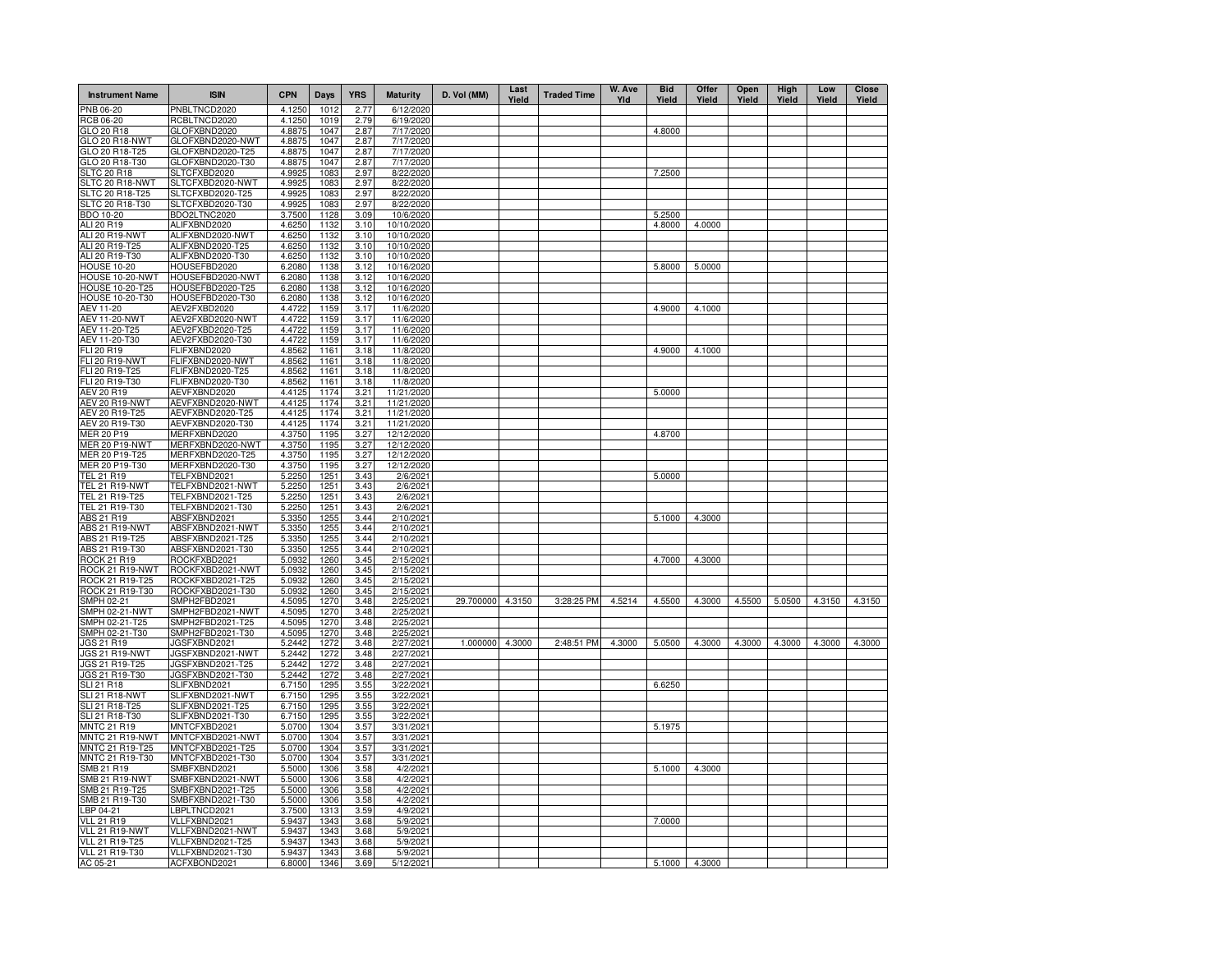| <b>Instrument Name</b>                         | <b>ISIN</b>                          | <b>CPN</b>       | <b>Days</b>  | <b>YRS</b>   | <b>Maturity</b>          | D. Vol (MM)      | Last<br>Yield | <b>Traded Time</b> | W. Ave<br>YId | <b>Bid</b><br>Yield | Offer<br>Yield | Open<br>Yield | High<br>Yield | Low<br>Yield | <b>Close</b><br>Yield |
|------------------------------------------------|--------------------------------------|------------------|--------------|--------------|--------------------------|------------------|---------------|--------------------|---------------|---------------------|----------------|---------------|---------------|--------------|-----------------------|
| PNB 06-20                                      | PNBLTNCD2020                         | 4.1250           | 1012         | 2.77         | 6/12/2020                |                  |               |                    |               |                     |                |               |               |              |                       |
| <b>RCB 06-20</b>                               | RCBLTNCD2020                         | 4.1250           | 1019         | 2.79         | 6/19/2020                |                  |               |                    |               |                     |                |               |               |              |                       |
| GLO 20 R18<br>GLO 20 R18-NWT                   | GLOFXBND2020<br>GLOFXBND2020-NWT     | 4.8875<br>4.8875 | 1047<br>1047 | 2.87<br>2.87 | 7/17/2020<br>7/17/2020   |                  |               |                    |               | 4.8000              |                |               |               |              |                       |
| GLO 20 R18-T25                                 | GLOFXBND2020-T25                     | 4.8875           | 1047         | 2.87         | 7/17/2020                |                  |               |                    |               |                     |                |               |               |              |                       |
| GLO 20 R18-T30                                 | GLOFXBND2020-T30                     | 4.8875           | 1047         | 2.87         | 7/17/2020                |                  |               |                    |               |                     |                |               |               |              |                       |
| <b>SLTC 20 R18</b>                             | SLTCFXBD2020                         | 4.9925           | 1083         | 2.97         | 8/22/2020                |                  |               |                    |               | 7.2500              |                |               |               |              |                       |
| SLTC 20 R18-NWT                                | SLTCFXBD2020-NWT                     | 4.9925           | 1083         | 2.97         | 8/22/2020                |                  |               |                    |               |                     |                |               |               |              |                       |
| SLTC 20 R18-T25                                | SLTCFXBD2020-T25                     | 4.9925           | 1083         | 2.97         | 8/22/2020                |                  |               |                    |               |                     |                |               |               |              |                       |
| SLTC 20 R18-T30                                | SLTCFXBD2020-T30                     | 4.9925           | 1083         | 2.97         | 8/22/2020                |                  |               |                    |               |                     |                |               |               |              |                       |
| BDO 10-20                                      | BDO2LTNC2020                         | 3.7500           | 1128         | 3.09         | 10/6/2020                |                  |               |                    |               | 5.2500              |                |               |               |              |                       |
| ALI 20 R19                                     | ALIFXBND2020                         | 4.6250           | 1132         | 3.10         | 10/10/2020               |                  |               |                    |               | 4.8000              | 4.0000         |               |               |              |                       |
| ALI 20 R19-NWT                                 | ALIFXBND2020-NWT                     | 4.6250           | 1132         | 3.10         | 10/10/2020               |                  |               |                    |               |                     |                |               |               |              |                       |
| ALI 20 R19-T25<br>ALI 20 R19-T30               | ALIFXBND2020-T25<br>ALIFXBND2020-T30 | 4.6250<br>4.6250 | 1132<br>1132 | 3.10<br>3.10 | 10/10/2020<br>10/10/2020 |                  |               |                    |               |                     |                |               |               |              |                       |
| <b>HOUSE 10-20</b>                             | HOUSEFBD2020                         | 6.2080           | 1138         | 3.12         | 10/16/2020               |                  |               |                    |               | 5.8000              | 5.0000         |               |               |              |                       |
| HOUSE 10-20-NWT                                | HOUSEFBD2020-NWT                     | 6.2080           | 1138         | 3.12         | 10/16/2020               |                  |               |                    |               |                     |                |               |               |              |                       |
| HOUSE 10-20-T25                                | HOUSEFBD2020-T25                     | 6.2080           | 1138         | 3.12         | 10/16/2020               |                  |               |                    |               |                     |                |               |               |              |                       |
| HOUSE 10-20-T30                                | HOUSEFBD2020-T30                     | 6.2080           | 1138         | 3.12         | 10/16/2020               |                  |               |                    |               |                     |                |               |               |              |                       |
| AEV 11-20                                      | AEV2FXBD2020                         | 4.4722           | 1159         | 3.17         | 11/6/2020                |                  |               |                    |               | 4.9000              | 4.1000         |               |               |              |                       |
| <b>AEV 11-20-NWT</b>                           | AEV2FXBD2020-NWT                     | 4.472            | 1159         | 3.17         | 11/6/2020                |                  |               |                    |               |                     |                |               |               |              |                       |
| AEV 11-20-T25                                  | AEV2FXBD2020-T25                     | 4.472            | 1159         | 3.17         | 11/6/2020                |                  |               |                    |               |                     |                |               |               |              |                       |
| AEV 11-20-T30                                  | AEV2FXBD2020-T30                     | 4.4722           | 1159         | 3.17         | 11/6/2020                |                  |               |                    |               |                     |                |               |               |              |                       |
| FLI 20 R19                                     | FLIFXBND2020                         | 4.8562           | 1161         | 3.18         | 11/8/2020                |                  |               |                    |               | 4.9000              | 4.1000         |               |               |              |                       |
| <b>FLI 20 R19-NWT</b><br>FLI 20 R19-T25        | FLIFXBND2020-NWT<br>FLIFXBND2020-T25 | 4.8562<br>4.8562 | 1161<br>1161 | 3.18<br>3.18 | 11/8/2020<br>11/8/2020   |                  |               |                    |               |                     |                |               |               |              |                       |
| FLI 20 R19-T30                                 | FLIFXBND2020-T30                     | 4.8562           | 1161         | 3.18         | 11/8/2020                |                  |               |                    |               |                     |                |               |               |              |                       |
| AEV 20 R19                                     | AEVFXBND2020                         | 4.4125           | 1174         | 3.21         | 11/21/2020               |                  |               |                    |               | 5.0000              |                |               |               |              |                       |
| AEV 20 R19-NWT                                 | AEVFXBND2020-NWT                     | 4.4125           | 1174         | 3.21         | 11/21/2020               |                  |               |                    |               |                     |                |               |               |              |                       |
| AEV 20 R19-T25                                 | AEVFXBND2020-T25                     | 4.4125           | 1174         | 3.21         | 11/21/2020               |                  |               |                    |               |                     |                |               |               |              |                       |
| AEV 20 R19-T30                                 | AEVFXBND2020-T30                     | 4.4125           | 1174         | 3.21         | 11/21/2020               |                  |               |                    |               |                     |                |               |               |              |                       |
| MER 20 P19                                     | MERFXBND2020                         | 4.3750           | 1195         | 3.27         | 12/12/2020               |                  |               |                    |               | 4.8700              |                |               |               |              |                       |
| <b>MER 20 P19-NWT</b>                          | MERFXBND2020-NWT                     | 4.3750           | 1195         | 3.27         | 12/12/2020               |                  |               |                    |               |                     |                |               |               |              |                       |
| MER 20 P19-T25                                 | MERFXBND2020-T25                     | 4.3750           | 1195         | 3.27         | 12/12/2020               |                  |               |                    |               |                     |                |               |               |              |                       |
| MER 20 P19-T30                                 | MERFXBND2020-T30                     | 4.3750           | 1195         | 3.27         | 12/12/2020               |                  |               |                    |               |                     |                |               |               |              |                       |
| <b>TEL 21 R19</b>                              | TELFXBND2021                         | 5.2250           | 1251         | 3.43         | 2/6/202                  |                  |               |                    |               | 5.0000              |                |               |               |              |                       |
| TEL 21 R19-NWT<br>TEL 21 R19-T25               | TELFXBND2021-NWT<br>TELFXBND2021-T25 | 5.2250<br>5.2250 | 1251<br>1251 | 3.43<br>3.43 | 2/6/202<br>2/6/202       |                  |               |                    |               |                     |                |               |               |              |                       |
| TEL 21 R19-T30                                 | TELFXBND2021-T30                     | 5.2250           | 1251         | 3.43         | 2/6/202                  |                  |               |                    |               |                     |                |               |               |              |                       |
| ABS 21 R19                                     | ABSFXBND2021                         | 5.3350           | 1255         | 3.44         | 2/10/2021                |                  |               |                    |               | 5.1000              | 4.3000         |               |               |              |                       |
| ABS 21 R19-NWT                                 | ABSFXBND2021-NWT                     | 5.3350           | 1255         | 3.44         | 2/10/202                 |                  |               |                    |               |                     |                |               |               |              |                       |
| ABS 21 R19-T25                                 | ABSFXBND2021-T25                     | 5.3350           | 1255         | 3.44         | 2/10/2021                |                  |               |                    |               |                     |                |               |               |              |                       |
| ABS 21 R19-T30                                 | ABSFXBND2021-T30                     | 5.3350           | 1255         | 3.44         | 2/10/2021                |                  |               |                    |               |                     |                |               |               |              |                       |
| ROCK 21 R19                                    | ROCKFXBD2021                         | 5.0932           | 1260         | 3.45         | 2/15/2021                |                  |               |                    |               | 4.7000              | 4.3000         |               |               |              |                       |
| ROCK 21 R19-NWT                                | ROCKFXBD2021-NWT                     | 5.0932           | 1260         | 3.45         | 2/15/2021                |                  |               |                    |               |                     |                |               |               |              |                       |
| ROCK 21 R19-T25                                | ROCKFXBD2021-T25                     | 5.0932           | 1260         | 3.45         | 2/15/2021                |                  |               |                    |               |                     |                |               |               |              |                       |
| ROCK 21 R19-T30                                | ROCKFXBD2021-T30                     | 5.0932           | 1260<br>1270 | 3.45         | 2/15/2021                |                  |               |                    |               |                     |                |               |               |              |                       |
| SMPH 02-21<br>SMPH 02-21-NWT                   | SMPH2FBD2021<br>SMPH2FBD2021-NWT     | 4.5095<br>4.5095 | 1270         | 3.48<br>3.48 | 2/25/2021<br>2/25/2021   | 29.700000 4.3150 |               | 3:28:25 PM         | 4.5214        | 4.5500              | 4.3000         | 4.5500        | 5.0500        | 4.3150       | 4.3150                |
| SMPH 02-21-T25                                 | SMPH2FBD2021-T25                     | 4.5095           | 1270         | 3.48         | 2/25/2021                |                  |               |                    |               |                     |                |               |               |              |                       |
| SMPH 02-21-T30                                 | SMPH2FBD2021-T30                     | 4.5095           | 1270         | 3.48         | 2/25/2021                |                  |               |                    |               |                     |                |               |               |              |                       |
| JGS 21 R19                                     | JGSFXBND2021                         | 5.2442           | 1272         | 3.48         | 2/27/2021                | 1.000000 4.3000  |               | 2:48:51 PM         | 4.3000        | 5.0500              | 4.3000         | 4.3000        | 4.3000        | 4.3000       | 4.3000                |
| <b>JGS 21 R19-NWT</b>                          | JGSFXBND2021-NWT                     | 5.2442           | 1272         | 3.48         | 2/27/2021                |                  |               |                    |               |                     |                |               |               |              |                       |
| JGS 21 R19-T25                                 | JGSFXBND2021-T25                     | 5.2442           | 1272         | 3.48         | 2/27/2021                |                  |               |                    |               |                     |                |               |               |              |                       |
| JGS 21 R19-T30                                 | JGSFXBND2021-T30                     | 5.2442           | 1272         | 3.48         | 2/27/2021                |                  |               |                    |               |                     |                |               |               |              |                       |
| <b>SLI 21 R18</b>                              | SLIFXBND2021                         | 6.7150           | 1295         | 3.55         | 3/22/2021                |                  |               |                    |               | 6.6250              |                |               |               |              |                       |
| SLI 21 R18-NWT                                 | SLIFXBND2021-NWT                     | 6.7150           | 1295         | 3.55         | 3/22/2021                |                  |               |                    |               |                     |                |               |               |              |                       |
| SLI 21 R18-T25<br>SLI 21 R18-T30               | SLIFXBND2021-T25<br>SLIFXBND2021-T30 | 6.7150<br>6.7150 | 1295<br>1295 | 3.55<br>3.55 | 3/22/2021<br>3/22/2021   |                  |               |                    |               |                     |                |               |               |              |                       |
| <b>MNTC 21 R19</b>                             | MNTCFXBD2021                         | 5.0700           | 1304         | 3.57         | 3/31/2021                |                  |               |                    |               | 5.1975              |                |               |               |              |                       |
| MNTC 21 R19-NWT                                | MNTCFXBD2021-NWT                     | 5.0700           | 1304         | 3.57         | 3/31/2021                |                  |               |                    |               |                     |                |               |               |              |                       |
| MNTC 21 R19-T25                                | MNTCFXBD2021-T25                     | 5.0700           | 1304         | 3.57         | 3/31/2021                |                  |               |                    |               |                     |                |               |               |              |                       |
| MNTC 21 R19-T30                                | MNTCFXBD2021-T30                     | 5.0700           | 1304         | 3.57         | 3/31/2021                |                  |               |                    |               |                     |                |               |               |              |                       |
| SMB 21 R19                                     | SMBFXBND2021                         | 5.5000           | 1306         | 3.58         | 4/2/202                  |                  |               |                    |               | 5.1000              | 4.3000         |               |               |              |                       |
| SMB 21 R19-NWT                                 | SMBFXBND2021-NWT                     | 5.5000           | 1306         | 3.58         | 4/2/202                  |                  |               |                    |               |                     |                |               |               |              |                       |
| SMB 21 R19-T25                                 | SMBFXBND2021-T25                     | 5.5000           | 1306         | 3.58         | 4/2/202                  |                  |               |                    |               |                     |                |               |               |              |                       |
| SMB 21 R19-T30                                 | SMBFXBND2021-T30                     | 5.5000           | 1306         | 3.58         | 4/2/202                  |                  |               |                    |               |                     |                |               |               |              |                       |
| LBP 04-21                                      | LBPLTNCD2021                         | 3.7500           | 1313         | 3.59         | 4/9/202                  |                  |               |                    |               |                     |                |               |               |              |                       |
| <b>VLL 21 R19</b>                              | VLLFXBND2021                         | 5.9437           | 1343         | 3.68         | 5/9/2021                 |                  |               |                    |               | 7.0000              |                |               |               |              |                       |
| VLL 21 R19-NWT                                 | VLLFXBND2021-NWT                     | 5.9437           | 1343         | 3.68         | 5/9/2021                 |                  |               |                    |               |                     |                |               |               |              |                       |
| <b>VLL 21 R19-T25</b><br><b>VLL 21 R19-T30</b> | VLLFXBND2021-T25<br>VLLFXBND2021-T30 | 5.9437<br>5.9437 | 1343<br>1343 | 3.68<br>3.68 | 5/9/2021<br>5/9/2021     |                  |               |                    |               |                     |                |               |               |              |                       |
| AC 05-21                                       | ACFXBOND2021                         | 6.8000           | 1346         | 3.69         | 5/12/2021                |                  |               |                    |               | 5.1000              | 4.3000         |               |               |              |                       |
|                                                |                                      |                  |              |              |                          |                  |               |                    |               |                     |                |               |               |              |                       |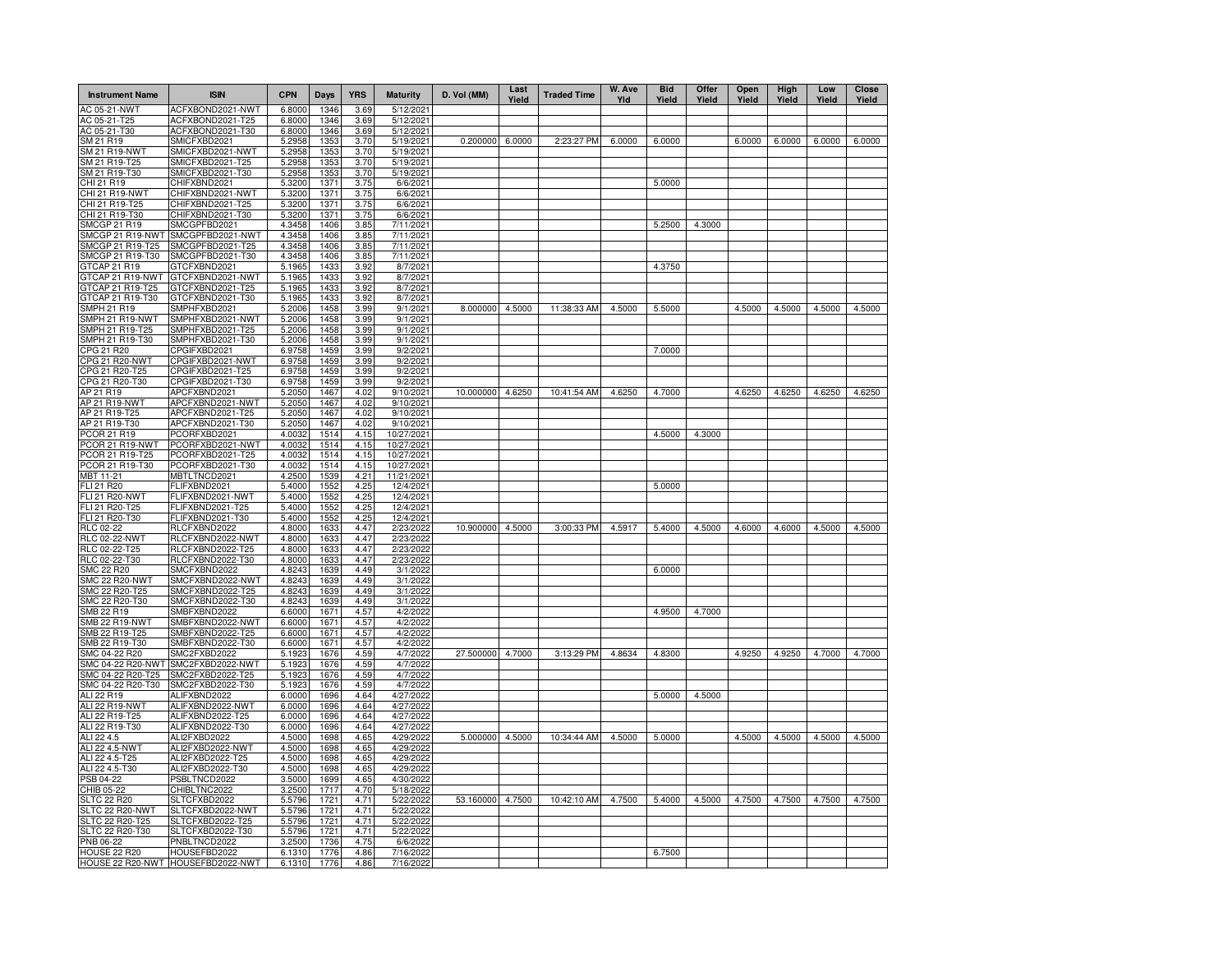| <b>Instrument Name</b>                  | <b>ISIN</b>                          | <b>CPN</b>       | Days         | <b>YRS</b>   | <b>Maturity</b>        | D. Vol (MM)      | Last<br>Yield | <b>Traded Time</b> | W. Ave<br>Yld | <b>Bid</b><br>Yield | Offer<br>Yield | Open<br>Yield | High<br>Yield | Low<br>Yield | Close<br>Yield |
|-----------------------------------------|--------------------------------------|------------------|--------------|--------------|------------------------|------------------|---------------|--------------------|---------------|---------------------|----------------|---------------|---------------|--------------|----------------|
| AC 05-21-NWT                            | ACFXBOND2021-NWT                     | 6.8000           | 1346         | 3.69         | 5/12/2021              |                  |               |                    |               |                     |                |               |               |              |                |
| AC 05-21-T25                            | ACFXBOND2021-T25<br>ACFXBOND2021-T30 | 6.8000           | 1346         | 3.69         | 5/12/2021              |                  |               |                    |               |                     |                |               |               |              |                |
| AC 05-21-T30<br>SM 21 R19               | SMICFXBD2021                         | 6.8000<br>5.2958 | 1346<br>1353 | 3.69<br>3.70 | 5/12/2021<br>5/19/2021 | 0.200000         | 6.0000        | 2:23:27 PM         | 6.0000        | 6.0000              |                | 6.0000        | 6.0000        | 6.0000       | 6.0000         |
| SM 21 R19-NWT                           | SMICFXBD2021-NWT                     | 5.2958           | 1353         | 3.70         | 5/19/2021              |                  |               |                    |               |                     |                |               |               |              |                |
| SM 21 R19-T25                           | SMICFXBD2021-T25                     | 5.2958           | 1353         | 3.70         | 5/19/2021              |                  |               |                    |               |                     |                |               |               |              |                |
| SM 21 R19-T30                           | SMICFXBD2021-T30                     | 5.2958           | 1353         | 3.70         | 5/19/2021              |                  |               |                    |               |                     |                |               |               |              |                |
| CHI 21 R19                              | CHIFXBND2021                         | 5.3200           | 1371         | 3.75         | 6/6/2021               |                  |               |                    |               | 5.0000              |                |               |               |              |                |
| CHI 21 R19-NWT                          | CHIFXBND2021-NWT                     | 5.3200           | 1371         | 3.75         | 6/6/2021               |                  |               |                    |               |                     |                |               |               |              |                |
| CHI 21 R19-T25                          | CHIFXBND2021-T25                     | 5.3200           | 1371         | 3.75         | 6/6/2021               |                  |               |                    |               |                     |                |               |               |              |                |
| CHI 21 R19-T30                          | CHIFXBND2021-T30                     | 5.3200           | 1371         | 3.75         | 6/6/2021               |                  |               |                    |               |                     |                |               |               |              |                |
| <b>SMCGP 21 R19</b><br>SMCGP 21 R19-NWT | SMCGPFBD2021<br>SMCGPFBD2021-NWT     | 4.3458<br>4.3458 | 1406<br>1406 | 3.85         | 7/11/2021<br>7/11/2021 |                  |               |                    |               | 5.2500              | 4.3000         |               |               |              |                |
| SMCGP 21 R19-T25                        | SMCGPFBD2021-T25                     | 4.3458           | 1406         | 3.85<br>3.85 | 7/11/2021              |                  |               |                    |               |                     |                |               |               |              |                |
| SMCGP 21 R19-T30                        | SMCGPFBD2021-T30                     | 4.3458           | 1406         | 3.85         | 7/11/2021              |                  |               |                    |               |                     |                |               |               |              |                |
| GTCAP 21 R19                            | GTCFXBND2021                         | 5.1965           | 1433         | 3.92         | 8/7/2021               |                  |               |                    |               | 4.3750              |                |               |               |              |                |
| GTCAP 21 R19-NWT                        | GTCFXBND2021-NWT                     | 5.1965           | 1433         | 3.92         | 8/7/2021               |                  |               |                    |               |                     |                |               |               |              |                |
| GTCAP 21 R19-T25                        | GTCFXBND2021-T25                     | 5.1965           | 1433         | 3.92         | 8/7/2021               |                  |               |                    |               |                     |                |               |               |              |                |
| GTCAP 21 R19-T30                        | GTCFXBND2021-T30                     | 5.1965           | 1433         | 3.92         | 8/7/2021               |                  |               |                    |               |                     |                |               |               |              |                |
| <b>SMPH 21 R19</b>                      | SMPHFXBD2021                         | 5.2006           | 1458         | 3.99         | 9/1/2021               | 8.000000         | 4.5000        | 11:38:33 AM        | 4.5000        | 5.5000              |                | 4.5000        | 4.5000        | 4.5000       | 4.5000         |
| SMPH 21 R19-NWT                         | SMPHFXBD2021-NWT                     | 5.2006           | 1458         | 3.99         | 9/1/2021               |                  |               |                    |               |                     |                |               |               |              |                |
| SMPH 21 R19-T25                         | SMPHFXBD2021-T25                     | 5.2006           | 1458         | 3.99         | 9/1/2021               |                  |               |                    |               |                     |                |               |               |              |                |
| SMPH 21 R19-T30                         | SMPHFXBD2021-T30                     | 5.2006           | 1458         | 3.99         | 9/1/2021               |                  |               |                    |               |                     |                |               |               |              |                |
| CPG 21 R20                              | CPGIFXBD2021                         | 6.9758           | 1459         | 3.99         | 9/2/2021               |                  |               |                    |               | 7.0000              |                |               |               |              |                |
| CPG 21 R20-NWT<br>CPG 21 R20-T25        | CPGIFXBD2021-NWT                     | 6.9758           | 1459<br>1459 | 3.99         | 9/2/2021               |                  |               |                    |               |                     |                |               |               |              |                |
| CPG 21 R20-T30                          | CPGIFXBD2021-T25<br>CPGIFXBD2021-T30 | 6.9758<br>6.9758 | 1459         | 3.99<br>3.99 | 9/2/2021<br>9/2/2021   |                  |               |                    |               |                     |                |               |               |              |                |
| AP 21 R19                               | APCFXBND2021                         | 5.2050           | 1467         | 4.02         | 9/10/2021              | 10.000000        | 4.6250        | 10:41:54 AM        | 4.6250        | 4.7000              |                | 4.6250        | 4.6250        | 4.6250       | 4.6250         |
| AP 21 R19-NWT                           | APCFXBND2021-NWT                     | 5.2050           | 1467         | 4.02         | 9/10/2021              |                  |               |                    |               |                     |                |               |               |              |                |
| AP 21 R19-T25                           | APCFXBND2021-T25                     | 5.2050           | 1467         | 4.02         | 9/10/2021              |                  |               |                    |               |                     |                |               |               |              |                |
| AP 21 R19-T30                           | APCFXBND2021-T30                     | 5.2050           | 1467         | 4.02         | 9/10/2021              |                  |               |                    |               |                     |                |               |               |              |                |
| PCOR 21 R19                             | PCORFXBD2021                         | 4.0032           | 1514         | 4.15         | 10/27/2021             |                  |               |                    |               | 4.5000              | 4.3000         |               |               |              |                |
| PCOR 21 R19-NWT                         | PCORFXBD2021-NWT                     | 4.0032           | 1514         | 4.15         | 10/27/2021             |                  |               |                    |               |                     |                |               |               |              |                |
| PCOR 21 R19-T25                         | PCORFXBD2021-T25                     | 4.0032           | 1514         | 4.15         | 10/27/2021             |                  |               |                    |               |                     |                |               |               |              |                |
| PCOR 21 R19-T30                         | PCORFXBD2021-T30                     | 4.0032           | 1514         | 4.15         | 10/27/2021             |                  |               |                    |               |                     |                |               |               |              |                |
| <b>MBT 11-21</b>                        | MBTLTNCD2021                         | 4.2500           | 1539         | 4.21         | 11/21/2021             |                  |               |                    |               |                     |                |               |               |              |                |
| <b>FLI 21 R20</b>                       | FLIFXBND2021                         | 5.4000           | 1552         | 4.25         | 12/4/2021              |                  |               |                    |               | 5.0000              |                |               |               |              |                |
| FLI 21 R20-NWT                          | FLIFXBND2021-NWT                     | 5.4000           | 1552         | 4.25         | 12/4/2021              |                  |               |                    |               |                     |                |               |               |              |                |
| FLI 21 R20-T25<br>FLI 21 R20-T30        | FLIFXBND2021-T25<br>FLIFXBND2021-T30 | 5.4000<br>5.4000 | 1552<br>1552 | 4.25<br>4.25 | 12/4/2021<br>12/4/2021 |                  |               |                    |               |                     |                |               |               |              |                |
| <b>RLC 02-22</b>                        | RLCFXBND2022                         | 4.8000           | 1633         | 4.47         | 2/23/2022              | 10.900000        | 4.5000        | 3:00:33 PM         | 4.5917        | 5.4000              | 4.5000         | 4.6000        | 4.6000        | 4.5000       | 4.5000         |
| <b>RLC 02-22-NWT</b>                    | RLCFXBND2022-NWT                     | 4.8000           | 1633         | 4.47         | 2/23/2022              |                  |               |                    |               |                     |                |               |               |              |                |
| RLC 02-22-T25                           | RLCFXBND2022-T25                     | 4.8000           | 1633         | 4.47         | 2/23/2022              |                  |               |                    |               |                     |                |               |               |              |                |
| RLC 02-22-T30                           | RLCFXBND2022-T30                     | 4.8000           | 1633         | 4.47         | 2/23/2022              |                  |               |                    |               |                     |                |               |               |              |                |
| SMC 22 R20                              | SMCFXBND2022                         | 4.8243           | 1639         | 4.49         | 3/1/202                |                  |               |                    |               | 6.0000              |                |               |               |              |                |
| SMC 22 R20-NWT                          | SMCFXBND2022-NWT                     | 4.8243           | 1639         | 4.49         | 3/1/202                |                  |               |                    |               |                     |                |               |               |              |                |
| SMC 22 R20-T25                          | SMCFXBND2022-T25                     | 4.8243           | 1639         | 4.49         | 3/1/202                |                  |               |                    |               |                     |                |               |               |              |                |
| SMC 22 R20-T30                          | SMCFXBND2022-T30                     | 4.8243           | 1639         | 4.49         | 3/1/202                |                  |               |                    |               |                     |                |               |               |              |                |
| SMB 22 R19                              | SMBFXBND2022                         | 6.6000           | 1671         | 4.57         | 4/2/2022               |                  |               |                    |               | 4.9500              | 4.7000         |               |               |              |                |
| SMB 22 R19-NWT                          | SMBFXBND2022-NWT                     | 6.6000           | 1671         | 4.57         | 4/2/2022               |                  |               |                    |               |                     |                |               |               |              |                |
| SMB 22 R19-T25                          | SMBFXBND2022-T25                     | 6.6000           | 1671         | 4.57         | 4/2/2022               |                  |               |                    |               |                     |                |               |               |              |                |
| SMB 22 R19-T30<br>SMC 04-22 R20         | SMBFXBND2022-T30<br>SMC2FXBD2022     | 6.6000<br>5.1923 | 1671<br>1676 | 4.57<br>4.59 | 4/2/2022<br>4/7/2022   | 27.500000        | 4.7000        | 3:13:29 PM         | 4.8634        | 4.8300              |                | 4.9250        | 4.9250        | 4.7000       | 4.7000         |
| SMC 04-22 R20-NWT                       | SMC2FXBD2022-NWT                     | 5.1923           | 1676         | 4.59         | 4/7/2022               |                  |               |                    |               |                     |                |               |               |              |                |
| SMC 04-22 R20-T25                       | SMC2FXBD2022-T25                     | 5.1923           | 1676         | 4.59         | 4/7/2022               |                  |               |                    |               |                     |                |               |               |              |                |
| SMC 04-22 R20-T30                       | SMC2FXBD2022-T30                     | 5.1923           | 1676         | 4.59         | 4/7/202                |                  |               |                    |               |                     |                |               |               |              |                |
| ALI 22 R19                              | ALIFXBND2022                         | 6.0000           | 1696         | 4.64         | 4/27/2022              |                  |               |                    |               | 5.0000              | 4.5000         |               |               |              |                |
| ALI 22 R19-NWT                          | ALIFXBND2022-NWT                     | 6.0000           | 1696         | 4.64         | 4/27/2022              |                  |               |                    |               |                     |                |               |               |              |                |
| ALI 22 R19-T25                          | ALIFXBND2022-T25                     | 6.0000           | 1696         | 4.64         | 4/27/2022              |                  |               |                    |               |                     |                |               |               |              |                |
| ALI 22 R19-T30                          | ALIFXBND2022-T30                     | 6.0000           | 1696         | 4.64         | 4/27/2022              |                  |               |                    |               |                     |                |               |               |              |                |
| ALI 22 4.5                              | ALI2FXBD2022                         | 4.5000           | 1698         | 4.65         | 4/29/2022              | 5.000000 4.5000  |               | 10:34:44 AM        | 4.5000        | 5.0000              |                | 4.5000        | 4.5000        | 4.5000       | 4.5000         |
| ALI 22 4.5-NWT                          | ALI2FXBD2022-NWT                     | 4.5000           | 1698         | 4.65         | 4/29/2022              |                  |               |                    |               |                     |                |               |               |              |                |
| ALI 22 4.5-T25                          | ALI2FXBD2022-T25                     | 4.5000           | 1698         | 4.65         | 4/29/2022              |                  |               |                    |               |                     |                |               |               |              |                |
| ALI 22 4.5-T30                          | ALI2FXBD2022-T30                     | 4.5000           | 1698         | 4.65         | 4/29/2022              |                  |               |                    |               |                     |                |               |               |              |                |
| PSB 04-22                               | PSBLTNCD2022                         | 3.5000           | 1699         | 4.65         | 4/30/202               |                  |               |                    |               |                     |                |               |               |              |                |
| CHIB 05-22<br><b>SLTC 22 R20</b>        | CHIBLTNC2022<br>SLTCFXBD2022         | 3.2500<br>5.5796 | 1717<br>1721 | 4.70<br>4.71 | 5/18/2022<br>5/22/202  | 53.160000 4.7500 |               | 10:42:10 AM        | 4.7500        | 5.4000              | 4.5000         | 4.7500        | 4.7500        | 4.7500       | 4.7500         |
| SLTC 22 R20-NWT                         | SLTCFXBD2022-NWT                     | 5.5796           | 1721         | 4.71         | 5/22/2022              |                  |               |                    |               |                     |                |               |               |              |                |
| SLTC 22 R20-T25                         | SLTCFXBD2022-T25                     | 5.5796           | 1721         | 4.71         | 5/22/2022              |                  |               |                    |               |                     |                |               |               |              |                |
| SLTC 22 R20-T30                         | SLTCFXBD2022-T30                     | 5.5796           | 1721         | 4.71         | 5/22/2022              |                  |               |                    |               |                     |                |               |               |              |                |
| PNB 06-22                               | PNBLTNCD2022                         | 3.2500           | 1736         | 4.75         | 6/6/2022               |                  |               |                    |               |                     |                |               |               |              |                |
| <b>HOUSE 22 R20</b>                     | HOUSEFBD2022                         | 6.1310           | 1776         | 4.86         | 7/16/2022              |                  |               |                    |               | 6.7500              |                |               |               |              |                |
|                                         | HOUSE 22 R20-NWT HOUSEFBD2022-NWT    | 6.1310           | 1776         | 4.86         | 7/16/2022              |                  |               |                    |               |                     |                |               |               |              |                |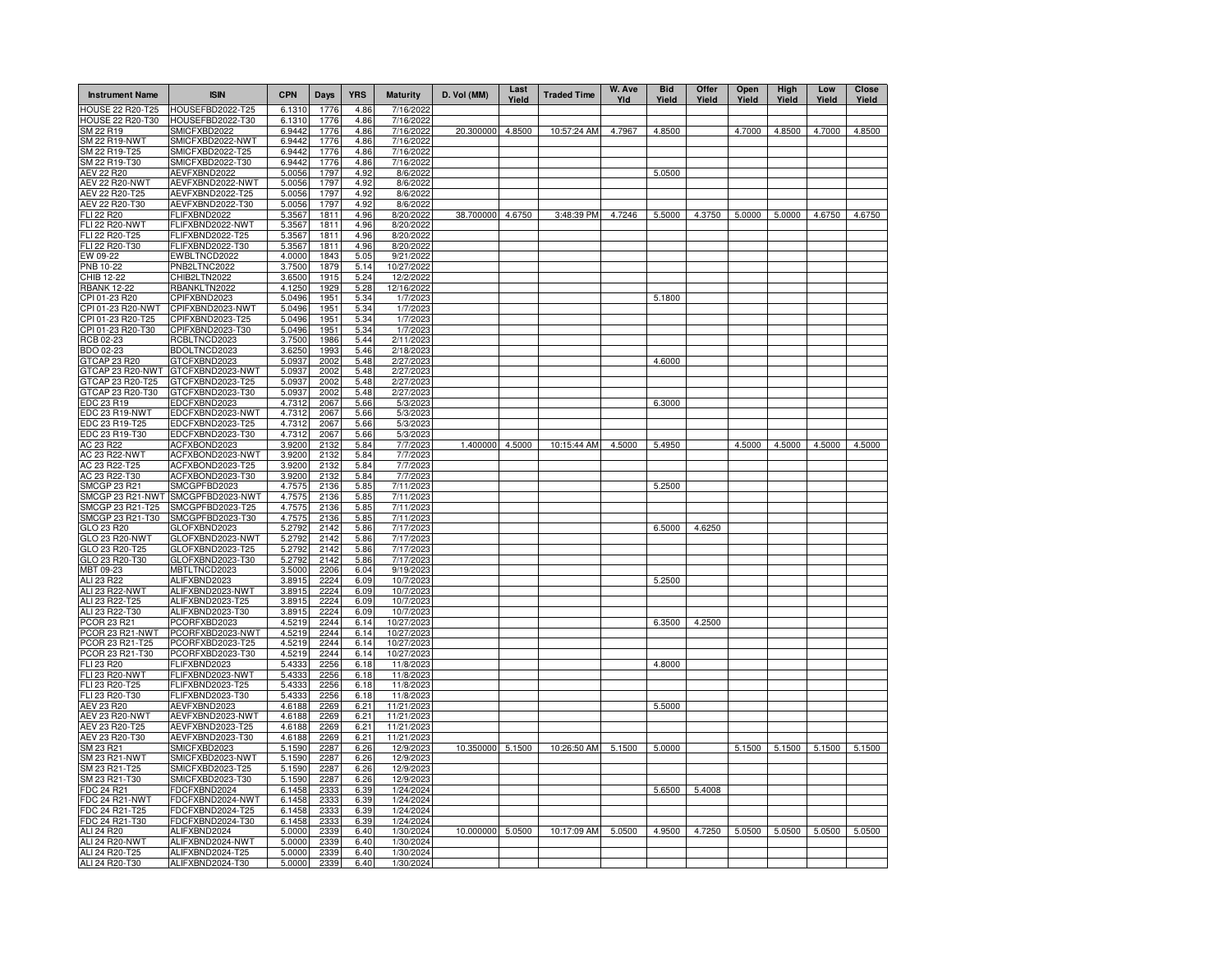| <b>Instrument Name</b>              | <b>ISIN</b>                          | <b>CPN</b>       | Days         | <b>YRS</b>   | <b>Maturity</b>        | D. Vol (MM)      | Last<br>Yield | <b>Traded Time</b> | W. Ave<br>Yld | <b>Bid</b><br>Yield | Offer<br>Yield | Open<br>Yield | High<br>Yield | Low<br>Yield | Close<br>Yield |
|-------------------------------------|--------------------------------------|------------------|--------------|--------------|------------------------|------------------|---------------|--------------------|---------------|---------------------|----------------|---------------|---------------|--------------|----------------|
| <b>HOUSE 22 R20-T25</b>             | HOUSEFBD2022-T25                     | 6.1310           | 1776         | 4.86         | 7/16/2022              |                  |               |                    |               |                     |                |               |               |              |                |
| HOUSE 22 R20-T30                    | HOUSEFBD2022-T30                     | 6.1310           | 1776         | 4.86         | 7/16/2022              |                  |               |                    |               |                     |                |               |               |              |                |
| SM 22 R19<br>SM 22 R19-NWT          | SMICFXBD2022<br>SMICFXBD2022-NWT     | 6.9442<br>6.9442 | 1776<br>1776 | 4.86<br>4.86 | 7/16/2022<br>7/16/2022 | 20.300000        | 4.8500        | 10:57:24 AM        | 4.7967        | 4.8500              |                | 4.7000        | 4.8500        | 4.7000       | 4.8500         |
| SM 22 R19-T25                       | SMICFXBD2022-T25                     | 6.9442           | 1776         | 4.86         | 7/16/2022              |                  |               |                    |               |                     |                |               |               |              |                |
| SM 22 R19-T30                       | SMICFXBD2022-T30                     | 6.9442           | 1776         | 4.86         | 7/16/2022              |                  |               |                    |               |                     |                |               |               |              |                |
| AEV 22 R20                          | AEVFXBND2022                         | 5.0056           | 1797         | 4.92         | 8/6/2022               |                  |               |                    |               | 5.0500              |                |               |               |              |                |
| <b>AEV 22 R20-NWT</b>               | AEVFXBND2022-NWT                     | 5.0056           | 1797         | 4.92         | 8/6/2022               |                  |               |                    |               |                     |                |               |               |              |                |
| AEV 22 R20-T25                      | AEVFXBND2022-T25                     | 5.0056           | 1797         | 4.92         | 8/6/2022               |                  |               |                    |               |                     |                |               |               |              |                |
| AEV 22 R20-T30                      | AEVFXBND2022-T30                     | 5.0056           | 1797         | 4.92         | 8/6/2022               |                  |               |                    |               |                     |                |               |               |              |                |
| FLI 22 R20<br><b>FLI 22 R20-NWT</b> | FLIFXBND2022<br>FLIFXBND2022-NWT     | 5.3567           | 1811<br>1811 | 4.96         | 8/20/2022              | 38.700000        | 4.6750        | 3:48:39 PM         | 4.7246        | 5.5000              | 4.3750         | 5.0000        | 5.0000        | 4.6750       | 4.6750         |
| FLI 22 R20-T25                      | FLIFXBND2022-T25                     | 5.3567<br>5.3567 | 1811         | 4.96<br>4.96 | 8/20/2022<br>8/20/2022 |                  |               |                    |               |                     |                |               |               |              |                |
| FLI 22 R20-T30                      | FLIFXBND2022-T30                     | 5.3567           | 1811         | 4.96         | 8/20/2022              |                  |               |                    |               |                     |                |               |               |              |                |
| EW 09-22                            | EWBLTNCD2022                         | 4.0000           | 1843         | 5.05         | 9/21/2022              |                  |               |                    |               |                     |                |               |               |              |                |
| PNB 10-22                           | PNB2LTNC2022                         | 3.7500           | 1879         | 5.14         | 10/27/2022             |                  |               |                    |               |                     |                |               |               |              |                |
| CHIB 12-22                          | CHIB2LTN2022                         | 3.6500           | 1915         | 5.24         | 12/2/2022              |                  |               |                    |               |                     |                |               |               |              |                |
| <b>RBANK 12-22</b>                  | RBANKLTN2022                         | 4.1250           | 1929         | 5.28         | 12/16/2022             |                  |               |                    |               |                     |                |               |               |              |                |
| CPI 01-23 R20                       | CPIFXBND2023                         | 5.0496           | 1951         | 5.34         | 1/7/202                |                  |               |                    |               | 5.1800              |                |               |               |              |                |
| CPI 01-23 R20-NWT                   | CPIFXBND2023-NWT                     | 5.0496           | 1951         | 5.34         | 1/7/202                |                  |               |                    |               |                     |                |               |               |              |                |
| CPI 01-23 R20-T25                   | CPIFXBND2023-T25                     | 5.0496           | 1951         | 5.34         | 1/7/202                |                  |               |                    |               |                     |                |               |               |              |                |
| CPI 01-23 R20-T30                   | CPIFXBND2023-T30<br>RCBLTNCD2023     | 5.0496           | 1951<br>1986 | 5.34<br>5.44 | 1/7/202<br>2/11/202    |                  |               |                    |               |                     |                |               |               |              |                |
| RCB 02-23<br>BDO 02-23              | BDOLTNCD2023                         | 3.7500<br>3.6250 | 1993         | 5.46         | 2/18/202               |                  |               |                    |               |                     |                |               |               |              |                |
| GTCAP 23 R20                        | GTCFXBND2023                         | 5.0937           | 2002         | 5.48         | 2/27/202               |                  |               |                    |               | 4.6000              |                |               |               |              |                |
| GTCAP 23 R20-NWT                    | GTCFXBND2023-NWT                     | 5.0937           | 2002         | 5.48         | 2/27/202               |                  |               |                    |               |                     |                |               |               |              |                |
| GTCAP 23 R20-T25                    | GTCFXBND2023-T25                     | 5.0937           | 2002         | 5.48         | 2/27/202               |                  |               |                    |               |                     |                |               |               |              |                |
| GTCAP 23 R20-T30                    | GTCFXBND2023-T30                     | 5.0937           | 2002         | 5.48         | 2/27/202               |                  |               |                    |               |                     |                |               |               |              |                |
| EDC 23 R19                          | EDCFXBND2023                         | 4.7312           | 2067         | 5.66         | 5/3/202                |                  |               |                    |               | 6.3000              |                |               |               |              |                |
| EDC 23 R19-NWT                      | EDCFXBND2023-NWT                     | 4.7312           | 2067         | 5.66         | 5/3/202                |                  |               |                    |               |                     |                |               |               |              |                |
| EDC 23 R19-T25                      | EDCFXBND2023-T25                     | 4.7312           | 2067         | 5.66         | 5/3/2023               |                  |               |                    |               |                     |                |               |               |              |                |
| EDC 23 R19-T30                      | EDCFXBND2023-T30                     | 4.7312           | 2067         | 5.66         | 5/3/2023               |                  |               |                    |               |                     |                |               |               |              |                |
| AC 23 R22<br>AC 23 R22-NWT          | ACFXBOND2023<br>ACFXBOND2023-NWT     | 3.9200<br>3.9200 | 2132<br>2132 | 5.84<br>5.84 | 7/7/2023<br>7/7/2023   | 1.400000         | 4.5000        | 10:15:44 AM        | 4.5000        | 5.4950              |                | 4.5000        | 4.5000        | 4.5000       | 4.5000         |
| AC 23 R22-T25                       | ACFXBOND2023-T25                     | 3.9200           | 2132         | 5.84         | 7/7/2023               |                  |               |                    |               |                     |                |               |               |              |                |
| AC 23 R22-T30                       | ACFXBOND2023-T30                     | 3.9200           | 2132         | 5.84         | 7/7/2023               |                  |               |                    |               |                     |                |               |               |              |                |
| SMCGP 23 R21                        | SMCGPFBD2023                         | 4.7575           | 2136         | 5.85         | 7/11/2023              |                  |               |                    |               | 5.2500              |                |               |               |              |                |
| SMCGP 23 R21-NWT                    | SMCGPFBD2023-NWT                     | 4.7575           | 2136         | 5.85         | 7/11/2023              |                  |               |                    |               |                     |                |               |               |              |                |
| SMCGP 23 R21-T25                    | SMCGPFBD2023-T25                     | 4.7575           | 2136         | 5.85         | 7/11/2023              |                  |               |                    |               |                     |                |               |               |              |                |
| SMCGP 23 R21-T30                    | SMCGPFBD2023-T30                     | 4.7575           | 2136         | 5.85         | 7/11/2023              |                  |               |                    |               |                     |                |               |               |              |                |
| GLO 23 R20                          | GLOFXBND2023                         | 5.2792           | 2142         | 5.86         | 7/17/2023              |                  |               |                    |               | 6.5000              | 4.6250         |               |               |              |                |
| GLO 23 R20-NWT                      | GLOFXBND2023-NWT                     | 5.2792           | 2142         | 5.86         | 7/17/2023              |                  |               |                    |               |                     |                |               |               |              |                |
| GLO 23 R20-T25<br>GLO 23 R20-T30    | GLOFXBND2023-T25<br>GLOFXBND2023-T30 | 5.2792<br>5.2792 | 2142<br>2142 | 5.86<br>5.86 | 7/17/2023<br>7/17/2023 |                  |               |                    |               |                     |                |               |               |              |                |
| MBT 09-23                           | MBTLTNCD2023                         | 3.5000           | 2206         | 6.04         | 9/19/2023              |                  |               |                    |               |                     |                |               |               |              |                |
| ALI 23 R22                          | ALIFXBND2023                         | 3.8915           | 2224         | 6.09         | 10/7/2023              |                  |               |                    |               | 5.2500              |                |               |               |              |                |
| ALI 23 R22-NWT                      | ALIFXBND2023-NWT                     | 3.8915           | 2224         | 6.09         | 10/7/2023              |                  |               |                    |               |                     |                |               |               |              |                |
| ALI 23 R22-T25                      | ALIFXBND2023-T25                     | 3.8915           | 2224         | 6.09         | 10/7/2023              |                  |               |                    |               |                     |                |               |               |              |                |
| ALI 23 R22-T30                      | ALIFXBND2023-T30                     | 3.8915           | 2224         | 6.09         | 10/7/2023              |                  |               |                    |               |                     |                |               |               |              |                |
| PCOR 23 R21                         | PCORFXBD2023                         | 4.5219           | 2244         | 6.14         | 10/27/2023             |                  |               |                    |               | 6.3500              | 4.2500         |               |               |              |                |
| PCOR 23 R21-NWT                     | PCORFXBD2023-NWT                     | 4.5219           | 2244         | 6.14         | 10/27/2023             |                  |               |                    |               |                     |                |               |               |              |                |
| PCOR 23 R21-T25                     | PCORFXBD2023-T25                     | 4.5219           | 2244         | 6.14         | 10/27/2023             |                  |               |                    |               |                     |                |               |               |              |                |
| PCOR 23 R21-T30                     | PCORFXBD2023-T30                     | 4.5219           | 2244         | 6.14         | 10/27/2023             |                  |               |                    |               |                     |                |               |               |              |                |
| FLI 23 R20<br><b>FLI 23 R20-NWT</b> | FLIFXBND2023<br>FLIFXBND2023-NWT     | 5.4333<br>5.433  | 2256<br>2256 | 6.18<br>6.18 | 11/8/2023<br>11/8/2023 |                  |               |                    |               | 4.8000              |                |               |               |              |                |
| FLI 23 R20-T25                      | FLIFXBND2023-T25                     | 5.433            | 2256         | 6.18         | 11/8/202               |                  |               |                    |               |                     |                |               |               |              |                |
| FLI 23 R20-T30                      | FLIFXBND2023-T30                     | 5.4333           | 2256         | 6.18         | 11/8/2023              |                  |               |                    |               |                     |                |               |               |              |                |
| AEV 23 R20                          | AEVFXBND2023                         | 4.6188           | 2269         | 6.21         | 11/21/2023             |                  |               |                    |               | 5.5000              |                |               |               |              |                |
| <b>AEV 23 R20-NWT</b>               | AEVFXBND2023-NWT                     | 4.6188           | 2269         | 6.21         | 11/21/2023             |                  |               |                    |               |                     |                |               |               |              |                |
| AEV 23 R20-T25                      | AEVFXBND2023-T25                     | 4.6188           | 2269         | 6.21         | 11/21/2023             |                  |               |                    |               |                     |                |               |               |              |                |
| AEV 23 R20-T30                      | AEVFXBND2023-T30                     | 4.6188           | 2269         | 6.21         | 11/21/202              |                  |               |                    |               |                     |                |               |               |              |                |
| SM 23 R21                           | SMICFXBD2023                         | 5.1590           | 2287         | 6.26         | 12/9/2023              | 10.350000 5.1500 |               | 10:26:50 AM        | 5.1500        | 5.0000              |                | 5.1500        | 5.1500 5.1500 |              | 5.1500         |
| SM 23 R21-NWT                       | SMICFXBD2023-NWT                     | 5.1590           | 2287         | 6.26         | 12/9/202               |                  |               |                    |               |                     |                |               |               |              |                |
| SM 23 R21-T25                       | SMICFXBD2023-T25                     | 5.1590           | 2287         | 6.26         | 12/9/2023              |                  |               |                    |               |                     |                |               |               |              |                |
| SM 23 R21-T30                       | SMICFXBD2023-T30                     | 5.1590           | 2287         | 6.26         | 12/9/202               |                  |               |                    |               |                     |                |               |               |              |                |
| FDC 24 R21<br>FDC 24 R21-NWT        | FDCFXBND2024<br>FDCFXBND2024-NWT     | 6.1458<br>6.1458 | 2333<br>2333 | 6.39<br>6.39 | 1/24/2024<br>1/24/2024 |                  |               |                    |               | 5.6500              | 5.4008         |               |               |              |                |
| FDC 24 R21-T25                      | FDCFXBND2024-T25                     | 6.1458           | 2333         | 6.39         | 1/24/2024              |                  |               |                    |               |                     |                |               |               |              |                |
| FDC 24 R21-T30                      | FDCFXBND2024-T30                     | 6.1458           | 2333         | 6.39         | 1/24/2024              |                  |               |                    |               |                     |                |               |               |              |                |
| ALI 24 R20                          | ALIFXBND2024                         | 5.0000           | 2339         | 6.40         | 1/30/2024              | 10.000000 5.0500 |               | 10:17:09 AM        | 5.0500        | 4.9500              | 4.7250         | 5.0500        | 5.0500        | 5.0500       | 5.0500         |
| ALI 24 R20-NWT                      | ALIFXBND2024-NWT                     | 5.0000           | 2339         | 6.40         | 1/30/2024              |                  |               |                    |               |                     |                |               |               |              |                |
| ALI 24 R20-T25                      | ALIFXBND2024-T25                     | 5.0000           | 2339         | 6.40         | 1/30/2024              |                  |               |                    |               |                     |                |               |               |              |                |
| ALI 24 R20-T30                      | ALIFXBND2024-T30                     | 5.0000           | 2339         | 6.40         | 1/30/2024              |                  |               |                    |               |                     |                |               |               |              |                |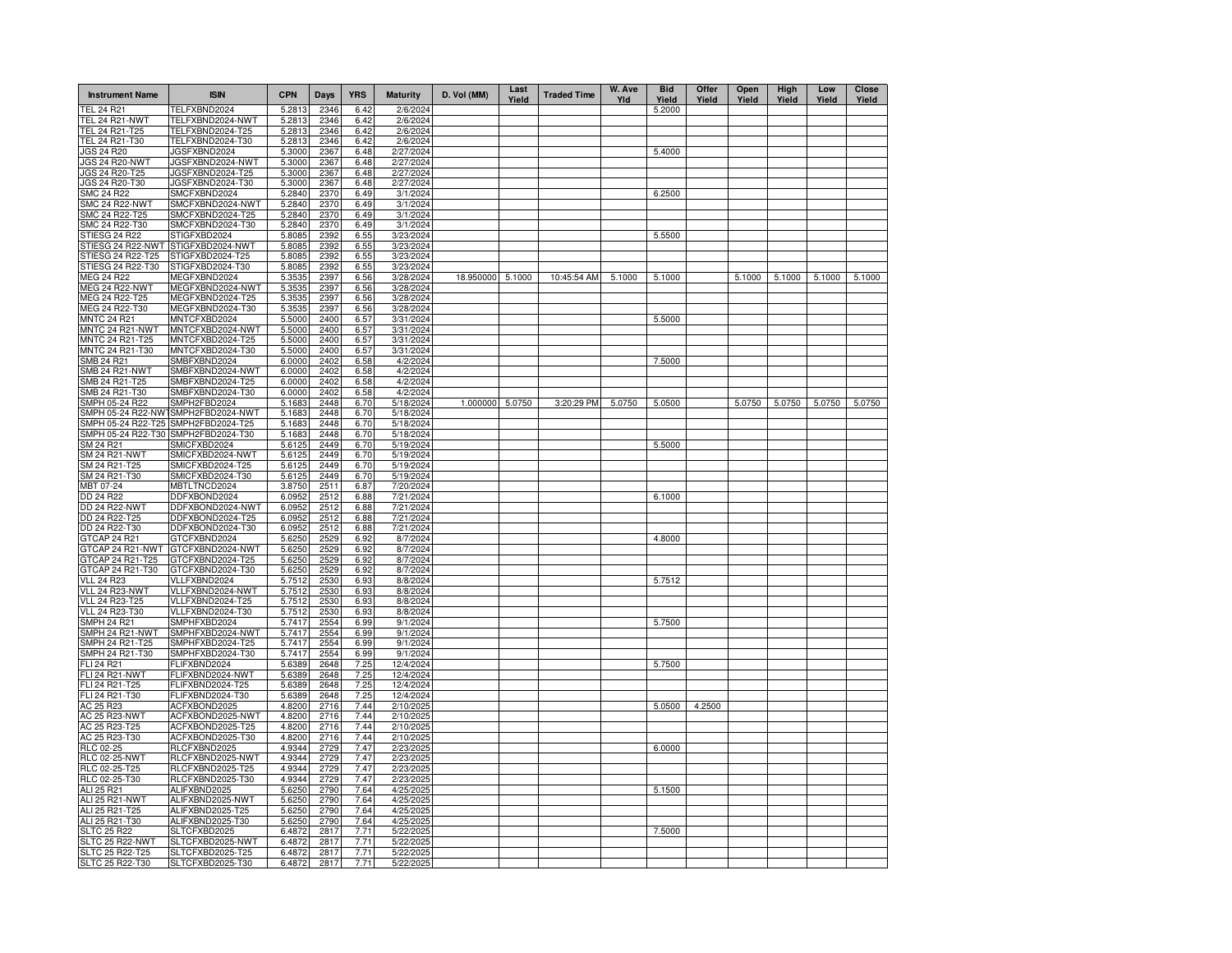| <b>Instrument Name</b>                  | <b>ISIN</b>                          | <b>CPN</b>       | Days         | <b>YRS</b>   | <b>Maturity</b>        | D. Vol (MM)      | Last<br>Yield | <b>Traded Time</b> | W. Ave<br>Yld | <b>Bid</b><br>Yield | Offer<br>Yield | Open<br>Yield | High<br>Yield | Low<br>Yield | <b>Close</b><br>Yield |
|-----------------------------------------|--------------------------------------|------------------|--------------|--------------|------------------------|------------------|---------------|--------------------|---------------|---------------------|----------------|---------------|---------------|--------------|-----------------------|
| <b>TEL 24 R21</b>                       | TELFXBND2024                         | 5.2813           | 2346         | 6.42         | 2/6/2024               |                  |               |                    |               | 5.2000              |                |               |               |              |                       |
| <b>TEL 24 R21-NWT</b>                   | TELFXBND2024-NWT                     | 5.2813           | 2346         | 6.42         | 2/6/2024               |                  |               |                    |               |                     |                |               |               |              |                       |
| TEL 24 R21-T25                          | TELFXBND2024-T25                     | 5.2813           | 2346         | 6.42         | 2/6/2024               |                  |               |                    |               |                     |                |               |               |              |                       |
| TEL 24 R21-T30                          | TELFXBND2024-T30                     | 5.2813           | 2346         | 6.42         | 2/6/2024               |                  |               |                    |               |                     |                |               |               |              |                       |
| JGS 24 R20                              | JGSFXBND2024                         | 5.3000           | 2367         | 6.48         | 2/27/2024              |                  |               |                    |               | 5.4000              |                |               |               |              |                       |
| JGS 24 R20-NWT<br>JGS 24 R20-T25        | JGSFXBND2024-NWT<br>JGSFXBND2024-T25 | 5.3000<br>5.3000 | 2367<br>2367 | 6.48<br>6.48 | 2/27/2024<br>2/27/2024 |                  |               |                    |               |                     |                |               |               |              |                       |
| JGS 24 R20-T30                          | JGSFXBND2024-T30                     | 5.3000           | 2367         | 6.48         | 2/27/2024              |                  |               |                    |               |                     |                |               |               |              |                       |
| <b>SMC 24 R22</b>                       | SMCFXBND2024                         | 5.2840           | 2370         | 6.49         | 3/1/2024               |                  |               |                    |               | 6.2500              |                |               |               |              |                       |
| <b>SMC 24 R22-NWT</b>                   | SMCFXBND2024-NWT                     | 5.2840           | 2370         | 6.49         | 3/1/2024               |                  |               |                    |               |                     |                |               |               |              |                       |
| SMC 24 R22-T25                          | SMCFXBND2024-T25                     | 5.2840           | 2370         | 6.49         | 3/1/2024               |                  |               |                    |               |                     |                |               |               |              |                       |
| SMC 24 R22-T30                          | SMCFXBND2024-T30                     | 5.2840           | 2370         | 6.49         | 3/1/2024               |                  |               |                    |               |                     |                |               |               |              |                       |
| <b>STIESG 24 R22</b>                    | STIGFXBD2024                         | 5.8085           | 2392         | 6.55         | 3/23/2024              |                  |               |                    |               | 5.5500              |                |               |               |              |                       |
| STIESG 24 R22-NWT                       | STIGFXBD2024-NWT                     | 5.8085           | 2392         | 6.55         | 3/23/2024              |                  |               |                    |               |                     |                |               |               |              |                       |
| STIESG 24 R22-T25                       | STIGFXBD2024-T25                     | 5.8085           | 2392         | 6.55         | 3/23/2024              |                  |               |                    |               |                     |                |               |               |              |                       |
| STIESG 24 R22-T30                       | STIGFXBD2024-T30                     | 5.8085           | 2392         | 6.55         | 3/23/2024              |                  |               |                    |               |                     |                |               |               |              |                       |
| <b>MEG 24 R22</b><br>MEG 24 R22-NWT     | MEGFXBND2024<br>MEGFXBND2024-NWT     | 5.3535<br>5.3535 | 2397<br>2397 | 6.56<br>6.56 | 3/28/2024<br>3/28/2024 | 18.950000 5.1000 |               | 10:45:54 AM        | 5.1000        | 5.1000              |                | 5.1000        | 5.1000        | 5.1000       | 5.1000                |
| MEG 24 R22-T25                          | MEGFXBND2024-T25                     | 5.3535           | 2397         | 6.56         | 3/28/2024              |                  |               |                    |               |                     |                |               |               |              |                       |
| MEG 24 R22-T30                          | MEGFXBND2024-T30                     | 5.3535           | 2397         | 6.56         | 3/28/2024              |                  |               |                    |               |                     |                |               |               |              |                       |
| <b>MNTC 24 R21</b>                      | MNTCFXBD2024                         | 5.5000           | 2400         | 6.57         | 3/31/2024              |                  |               |                    |               | 5.5000              |                |               |               |              |                       |
| MNTC 24 R21-NWT                         | MNTCFXBD2024-NWT                     | 5.5000           | 2400         | 6.57         | 3/31/2024              |                  |               |                    |               |                     |                |               |               |              |                       |
| MNTC 24 R21-T25                         | MNTCFXBD2024-T25                     | 5.5000           | 2400         | 6.57         | 3/31/2024              |                  |               |                    |               |                     |                |               |               |              |                       |
| MNTC 24 R21-T30                         | MNTCFXBD2024-T30                     | 5.5000           | 2400         | 6.57         | 3/31/2024              |                  |               |                    |               |                     |                |               |               |              |                       |
| <b>SMB 24 R21</b>                       | SMBFXBND2024                         | 6.0000           | 2402         | 6.58         | 4/2/2024               |                  |               |                    |               | 7.5000              |                |               |               |              |                       |
| <b>SMB 24 R21-NWT</b>                   | SMBFXBND2024-NWT                     | 6.0000           | 2402         | 6.58         | 4/2/2024               |                  |               |                    |               |                     |                |               |               |              |                       |
| SMB 24 R21-T25                          | SMBFXBND2024-T25                     | 6.0000           | 2402         | 6.58         | 4/2/2024               |                  |               |                    |               |                     |                |               |               |              |                       |
| SMB 24 R21-T30                          | SMBFXBND2024-T30                     | 6.0000           | 2402         | 6.58         | 4/2/2024               |                  |               |                    |               |                     |                |               |               |              |                       |
| SMPH 05-24 R22                          | SMPH2FBD2024                         | 5.1683           | 2448         | 6.70         | 5/18/2024              | 1.000000         | 5.0750        | 3:20:29 PM         | 5.0750        | 5.0500              |                | 5.0750        | 5.0750        | 5.0750       | 5.0750                |
| SMPH 05-24 R22-NWT                      | SMPH2FBD2024-NWT                     | 5.1683           | 2448         | 6.70         | 5/18/2024              |                  |               |                    |               |                     |                |               |               |              |                       |
| SMPH 05-24 R22-T25                      | SMPH2FBD2024-T25                     | 5.1683           | 2448         | 6.70         | 5/18/2024              |                  |               |                    |               |                     |                |               |               |              |                       |
| SMPH 05-24 R22-T30<br>SM 24 R21         | SMPH2FBD2024-T30<br>SMICFXBD2024     | 5.1683<br>5.6125 | 2448<br>2449 | 6.70<br>6.70 | 5/18/2024<br>5/19/2024 |                  |               |                    |               | 5.5000              |                |               |               |              |                       |
| <b>SM 24 R21-NWT</b>                    | SMICFXBD2024-NWT                     | 5.6125           | 2449         | 6.70         | 5/19/2024              |                  |               |                    |               |                     |                |               |               |              |                       |
| SM 24 R21-T25                           | SMICFXBD2024-T25                     | 5.6125           | 2449         | 6.70         | 5/19/2024              |                  |               |                    |               |                     |                |               |               |              |                       |
| SM 24 R21-T30                           | SMICFXBD2024-T30                     | 5.6125           | 2449         | 6.70         | 5/19/2024              |                  |               |                    |               |                     |                |               |               |              |                       |
| MBT 07-24                               | MBTLTNCD2024                         | 3.8750           | 2511         | 6.87         | 7/20/2024              |                  |               |                    |               |                     |                |               |               |              |                       |
| DD 24 R22                               | DDFXBOND2024                         | 6.0952           | 2512         | 6.88         | 7/21/2024              |                  |               |                    |               | 6.1000              |                |               |               |              |                       |
| <b>DD 24 R22-NWT</b>                    | DDFXBOND2024-NWT                     | 6.0952           | 2512         | 6.88         | 7/21/2024              |                  |               |                    |               |                     |                |               |               |              |                       |
| DD 24 R22-T25                           | DDFXBOND2024-T25                     | 6.0952           | 2512         | 6.88         | 7/21/2024              |                  |               |                    |               |                     |                |               |               |              |                       |
| DD 24 R22-T30                           | DDFXBOND2024-T30                     | 6.0952           | 2512         | 6.88         | 7/21/2024              |                  |               |                    |               |                     |                |               |               |              |                       |
| GTCAP 24 R21                            | GTCFXBND2024                         | 5.6250           | 2529         | 6.92         | 8/7/2024               |                  |               |                    |               | 4.8000              |                |               |               |              |                       |
| GTCAP 24 R21-NWT                        | GTCFXBND2024-NWT                     | 5.6250           | 2529         | 6.92         | 8/7/2024               |                  |               |                    |               |                     |                |               |               |              |                       |
| GTCAP 24 R21-T25                        | GTCFXBND2024-T25                     | 5.6250           | 2529         | 6.92         | 8/7/2024               |                  |               |                    |               |                     |                |               |               |              |                       |
| GTCAP 24 R21-T30                        | GTCFXBND2024-T30                     | 5.6250           | 2529         | 6.92         | 8/7/2024               |                  |               |                    |               |                     |                |               |               |              |                       |
| <b>VLL 24 R23</b>                       | VLLFXBND2024                         | 5.7512           | 2530         | 6.93         | 8/8/2024               |                  |               |                    |               | 5.7512              |                |               |               |              |                       |
| VLL 24 R23-NWT<br><b>VLL 24 R23-T25</b> | VLLFXBND2024-NWT<br>VLLFXBND2024-T25 | 5.7512<br>5.7512 | 2530<br>2530 | 6.93<br>6.93 | 8/8/2024<br>8/8/2024   |                  |               |                    |               |                     |                |               |               |              |                       |
| <b>VLL 24 R23-T30</b>                   | VLLFXBND2024-T30                     | 5.7512           | 2530         | 6.93         | 8/8/2024               |                  |               |                    |               |                     |                |               |               |              |                       |
| <b>SMPH 24 R21</b>                      | SMPHFXBD2024                         | 5.7417           | 2554         | 6.99         | 9/1/2024               |                  |               |                    |               | 5.7500              |                |               |               |              |                       |
| SMPH 24 R21-NWT                         | SMPHFXBD2024-NWT                     | 5.7417           | 2554         | 6.99         | 9/1/2024               |                  |               |                    |               |                     |                |               |               |              |                       |
| SMPH 24 R21-T25                         | SMPHFXBD2024-T25                     | 5.7417           | 2554         | 6.99         | 9/1/2024               |                  |               |                    |               |                     |                |               |               |              |                       |
| SMPH 24 R21-T30                         | SMPHFXBD2024-T30                     | 5.7417           | 2554         | 6.99         | 9/1/2024               |                  |               |                    |               |                     |                |               |               |              |                       |
| FLI 24 R21                              | FLIFXBND2024                         | 5.6389           | 2648         | 7.25         | 12/4/2024              |                  |               |                    |               | 5.7500              |                |               |               |              |                       |
| <b>FLI 24 R21-NWT</b>                   | FLIFXBND2024-NWT                     | 5.6389           | 2648         | 7.25         | 12/4/2024              |                  |               |                    |               |                     |                |               |               |              |                       |
| FLI 24 R21-T25                          | FLIFXBND2024-T25                     | 5.6389           | 2648         | 7.25         | 12/4/2024              |                  |               |                    |               |                     |                |               |               |              |                       |
| FLI 24 R21-T30                          | FLIFXBND2024-T30                     | 5.6389           | 2648         | 7.25         | 12/4/2024              |                  |               |                    |               |                     |                |               |               |              |                       |
| AC 25 R23                               | ACFXBOND2025                         | 4.8200           | 2716         | 7.44         | 2/10/2025              |                  |               |                    |               | 5.0500              | 4.2500         |               |               |              |                       |
| AC 25 R23-NWT                           | ACFXBOND2025-NWT                     | 4.8200           | 2716         | 7.44         | 2/10/2025              |                  |               |                    |               |                     |                |               |               |              |                       |
| AC 25 R23-T25                           | ACFXBOND2025-T25                     | 4.8200           | 2716         | 7.44         | 2/10/2025              |                  |               |                    |               |                     |                |               |               |              |                       |
| AC 25 R23-T30                           | ACFXBOND2025-T30<br>RLCFXBND2025     | 4.8200<br>4.9344 | 2716<br>2729 | 7.44<br>7.47 | 2/10/2025<br>2/23/2025 |                  |               |                    |               |                     |                |               |               |              |                       |
| RLC 02-25<br><b>RLC 02-25-NWT</b>       | RLCFXBND2025-NWT                     | 4.9344           | 2729         | 7.47         | 2/23/2025              |                  |               |                    |               | 6.0000              |                |               |               |              |                       |
| RLC 02-25-T25                           | RLCFXBND2025-T25                     | 4.9344           | 2729         | 7.47         | 2/23/2025              |                  |               |                    |               |                     |                |               |               |              |                       |
| RLC 02-25-T30                           | RLCFXBND2025-T30                     | 4.9344           | 2729         | 7.47         | 2/23/2025              |                  |               |                    |               |                     |                |               |               |              |                       |
| ALI 25 R21                              | ALIFXBND2025                         | 5.6250           | 2790         | 7.64         | 4/25/2025              |                  |               |                    |               | 5.1500              |                |               |               |              |                       |
| ALI 25 R21-NWT                          | ALIFXBND2025-NWT                     | 5.6250           | 2790         | 7.64         | 4/25/2025              |                  |               |                    |               |                     |                |               |               |              |                       |
| ALI 25 R21-T25                          | ALIFXBND2025-T25                     | 5.6250           | 2790         | 7.64         | 4/25/2025              |                  |               |                    |               |                     |                |               |               |              |                       |
| ALI 25 R21-T30                          | ALIFXBND2025-T30                     | 5.6250           | 2790         | 7.64         | 4/25/2025              |                  |               |                    |               |                     |                |               |               |              |                       |
| <b>SLTC 25 R22</b>                      | SLTCFXBD2025                         | 6.4872           | 2817         | 7.71         | 5/22/2025              |                  |               |                    |               | 7.5000              |                |               |               |              |                       |
| SLTC 25 R22-NWT                         | SLTCFXBD2025-NWT                     | 6.4872           | 2817         | 7.71         | 5/22/2025              |                  |               |                    |               |                     |                |               |               |              |                       |
| SLTC 25 R22-T25                         | SLTCFXBD2025-T25                     | 6.4872           | 2817         | 7.71         | 5/22/2025              |                  |               |                    |               |                     |                |               |               |              |                       |
| SLTC 25 R22-T30                         | SLTCFXBD2025-T30                     | 6.4872           | 2817         | 7.71         | 5/22/2025              |                  |               |                    |               |                     |                |               |               |              |                       |